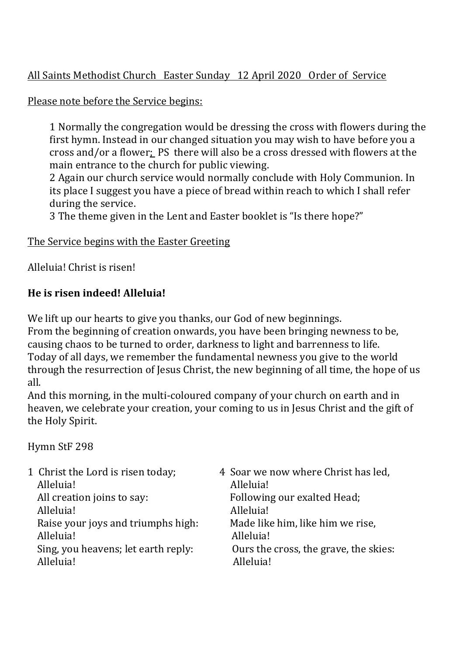# All Saints Methodist Church Easter Sunday 12 April 2020 Order of Service

### Please note before the Service begins:

1 Normally the congregation would be dressing the cross with flowers during the first hymn. Instead in our changed situation you may wish to have before you a cross and/or a flower; PS there will also be a cross dressed with flowers at the main entrance to the church for public viewing.

2 Again our church service would normally conclude with Holy Communion. In its place I suggest you have a piece of bread within reach to which I shall refer during the service.

3 The theme given in the Lent and Easter booklet is "Is there hope?"

### The Service begins with the Easter Greeting

Alleluia! Christ is risen!

## **He** is risen indeed! Alleluia!

We lift up our hearts to give you thanks, our God of new beginnings. From the beginning of creation onwards, you have been bringing newness to be, causing chaos to be turned to order, darkness to light and barrenness to life. Today of all days, we remember the fundamental newness you give to the world through the resurrection of Jesus Christ, the new beginning of all time, the hope of us all.

And this morning, in the multi-coloured company of your church on earth and in heaven, we celebrate your creation, your coming to us in Jesus Christ and the gift of the Holy Spirit.

### Hymn StF 298

| 1 Christ the Lord is risen today;   | 4 Soar we now where Christ has led,   |
|-------------------------------------|---------------------------------------|
| Alleluia!                           | Alleluia!                             |
| All creation joins to say:          | Following our exalted Head;           |
| Alleluia!                           | Alleluia!                             |
| Raise your joys and triumphs high:  | Made like him, like him we rise,      |
| Alleluia!                           | Alleluia!                             |
| Sing, you heavens; let earth reply: | Ours the cross, the grave, the skies: |
| Alleluia!                           | Alleluia!                             |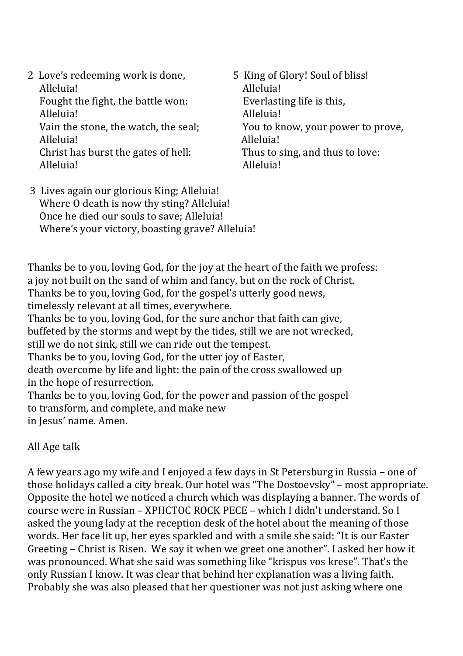- 2 Love's redeeming work is done, <br> **5** King of Glory! Soul of bliss! Alleluia! Alleluia! Fought the fight, the battle won:  $\sum_{n=1}^{\infty}$  Everlasting life is this, Alleluia! and a subset of the subset of the Alleluia! Alleluia! and a subset of the subset of the subset of the alleluia! Alleluia! Christ has burst the gates of hell: Thus to sing, and thus to love: Alleluia! Alleluia!
- Vain the stone, the watch, the seal; You to know, your power to prove,
- 3 Lives again our glorious King; Alleluia! Where  $\overline{0}$  death is now thy sting? Alleluia! Once he died our souls to save: Alleluia! Where's your victory, boasting grave? Alleluia!

Thanks be to you, loving God, for the joy at the heart of the faith we profess: a joy not built on the sand of whim and fancy, but on the rock of Christ. Thanks be to you, loving God, for the gospel's utterly good news, timelessly relevant at all times, everywhere. Thanks be to you, loving God, for the sure anchor that faith can give, buffeted by the storms and wept by the tides, still we are not wrecked, still we do not sink, still we can ride out the tempest. Thanks be to you, loving God, for the utter joy of Easter, death overcome by life and light: the pain of the cross swallowed up in the hope of resurrection. Thanks be to you, loving God, for the power and passion of the gospel to transform, and complete, and make new in Jesus' name. Amen.

## All Age talk

A few years ago my wife and I enjoyed a few days in St Petersburg in Russia – one of those holidays called a city break. Our hotel was "The Dostoevsky" - most appropriate. Opposite the hotel we noticed a church which was displaying a banner. The words of course were in Russian – XPHCTOC ROCK PECE – which I didn't understand. So I asked the young lady at the reception desk of the hotel about the meaning of those words. Her face lit up, her eyes sparkled and with a smile she said: "It is our Easter Greeting – Christ is Risen. We say it when we greet one another". I asked her how it was pronounced. What she said was something like "krispus vos krese". That's the only Russian I know. It was clear that behind her explanation was a living faith. Probably she was also pleased that her questioner was not just asking where one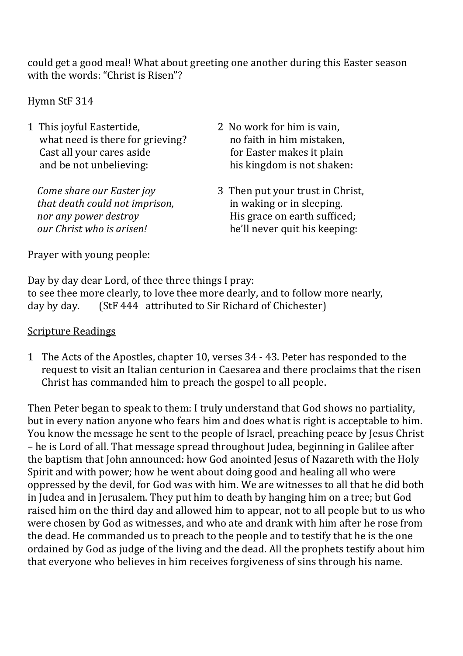could get a good meal! What about greeting one another during this Easter season with the words: "Christ is Risen"?

Hymn StF 314

1 This joyful Eastertide, 2 No work for him is vain, what need is there for grieving? here for the no faith in him mistaken, Cast all your cares aside *Castall* vour cares aside *Caster makes it plain* and be not unbelieving: his kingdom is not shaken:

*that death could not imprison. in waking or in sleeping.* 

- 
- *Come share our Easter joy* 3 Then put your trust in Christ, *nor any power destroy COVEC MEXEC MEXEC His grace on earth sufficed; our Christ who is arisen!*  he'll never quit his keeping:

Prayer with young people:

Day by day dear Lord, of thee three things I pray: to see thee more clearly, to love thee more dearly, and to follow more nearly, day by day.  $(StF 444$  attributed to Sir Richard of Chichester)

### **Scripture Readings**

1 The Acts of the Apostles, chapter 10, verses 34 - 43. Peter has responded to the request to visit an Italian centurion in Caesarea and there proclaims that the risen Christ has commanded him to preach the gospel to all people.

Then Peter began to speak to them: I truly understand that God shows no partiality, but in every nation anyone who fears him and does what is right is acceptable to him. You know the message he sent to the people of Israel, preaching peace by Jesus Christ – he is Lord of all. That message spread throughout Judea, beginning in Galilee after the baptism that John announced: how God anointed Jesus of Nazareth with the Holy Spirit and with power; how he went about doing good and healing all who were oppressed by the devil, for God was with him. We are witnesses to all that he did both in Judea and in Jerusalem. They put him to death by hanging him on a tree; but God raised him on the third day and allowed him to appear, not to all people but to us who were chosen by God as witnesses, and who ate and drank with him after he rose from the dead. He commanded us to preach to the people and to testify that he is the one ordained by God as judge of the living and the dead. All the prophets testify about him that everyone who believes in him receives forgiveness of sins through his name.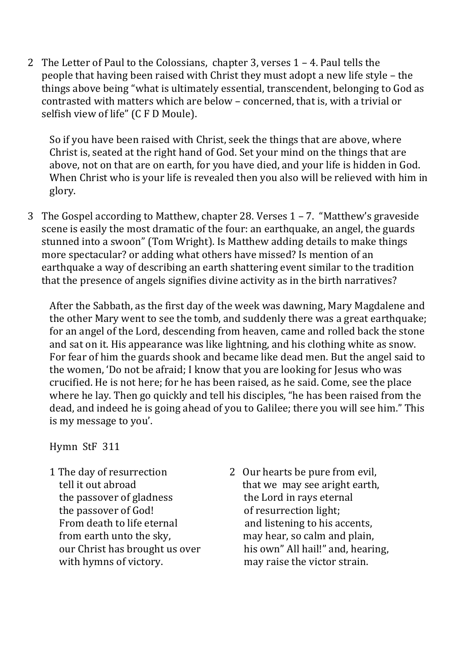2 The Letter of Paul to the Colossians, chapter 3, verses  $1 - 4$ . Paul tells the people that having been raised with Christ they must adopt a new life style – the things above being "what is ultimately essential, transcendent, belonging to God as contrasted with matters which are below – concerned, that is, with a trivial or selfish view of life" (C F D Moule).

So if you have been raised with Christ, seek the things that are above, where Christ is, seated at the right hand of God. Set your mind on the things that are above, not on that are on earth, for you have died, and your life is hidden in God. When Christ who is your life is revealed then you also will be relieved with him in glory.

3 The Gospel according to Matthew, chapter 28. Verses  $1 - 7$ . "Matthew's graveside scene is easily the most dramatic of the four: an earthquake, an angel, the guards stunned into a swoon" (Tom Wright). Is Matthew adding details to make things more spectacular? or adding what others have missed? Is mention of an earthquake a way of describing an earth shattering event similar to the tradition that the presence of angels signifies divine activity as in the birth narratives?

After the Sabbath, as the first day of the week was dawning, Mary Magdalene and the other Mary went to see the tomb, and suddenly there was a great earthquake; for an angel of the Lord, descending from heaven, came and rolled back the stone and sat on it. His appearance was like lightning, and his clothing white as snow. For fear of him the guards shook and became like dead men. But the angel said to the women, 'Do not be afraid; I know that you are looking for Jesus who was crucified. He is not here; for he has been raised, as he said. Come, see the place where he lay. Then go quickly and tell his disciples, "he has been raised from the dead, and indeed he is going ahead of you to Galilee; there you will see him." This is my message to you'.

Hymn StF 311

- the passover of gladness the Lord in rays eternal the passover of God! of resurrection light;
- 1 The day of resurrection 2 Our hearts be pure from evil, tell it out abroad source that we may see aright earth, From death to life eternal and listening to his accents, from earth unto the sky, may hear, so calm and plain, our Christ has brought us over his own" All hail!" and, hearing, with hymns of victory. The may raise the victor strain.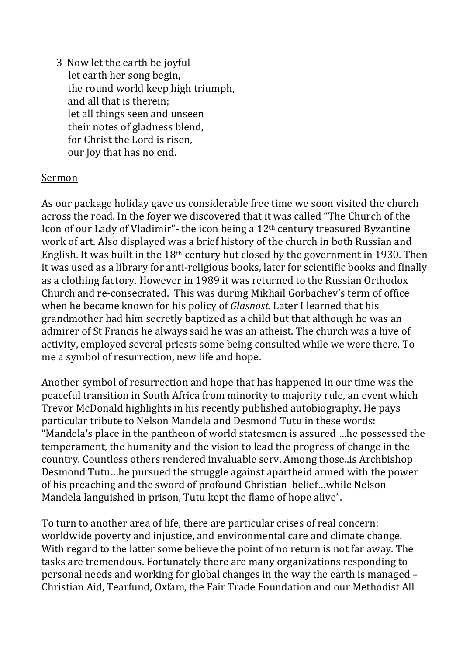3 Now let the earth be joyful let earth her song begin. the round world keep high triumph, and all that is therein: let all things seen and unseen their notes of gladness blend, for Christ the Lord is risen. our joy that has no end.

#### Sermon

As our package holiday gave us considerable free time we soon visited the church across the road. In the foyer we discovered that it was called "The Church of the Icon of our Lady of Vladimir"- the icon being a  $12<sup>th</sup>$  century treasured Byzantine work of art. Also displayed was a brief history of the church in both Russian and English. It was built in the  $18<sup>th</sup>$  century but closed by the government in 1930. Then it was used as a library for anti-religious books, later for scientific books and finally as a clothing factory. However in 1989 it was returned to the Russian Orthodox Church and re-consecrated. This was during Mikhail Gorbachev's term of office when he became known for his policy of *Glasnost*. Later I learned that his grandmother had him secretly baptized as a child but that although he was an admirer of St Francis he always said he was an atheist. The church was a hive of activity, employed several priests some being consulted while we were there. To me a symbol of resurrection, new life and hope.

Another symbol of resurrection and hope that has happened in our time was the peaceful transition in South Africa from minority to majority rule, an event which Trevor McDonald highlights in his recently published autobiography. He pays particular tribute to Nelson Mandela and Desmond Tutu in these words: "Mandela's place in the pantheon of world statesmen is assured ...he possessed the temperament, the humanity and the vision to lead the progress of change in the country. Countless others rendered invaluable serv. Among those..is Archbishop Desmond Tutu...he pursued the struggle against apartheid armed with the power of his preaching and the sword of profound Christian belief...while Nelson Mandela languished in prison, Tutu kept the flame of hope alive".

To turn to another area of life, there are particular crises of real concern: worldwide poverty and injustice, and environmental care and climate change. With regard to the latter some believe the point of no return is not far away. The tasks are tremendous. Fortunately there are many organizations responding to personal needs and working for global changes in the way the earth is managed – Christian Aid, Tearfund, Oxfam, the Fair Trade Foundation and our Methodist All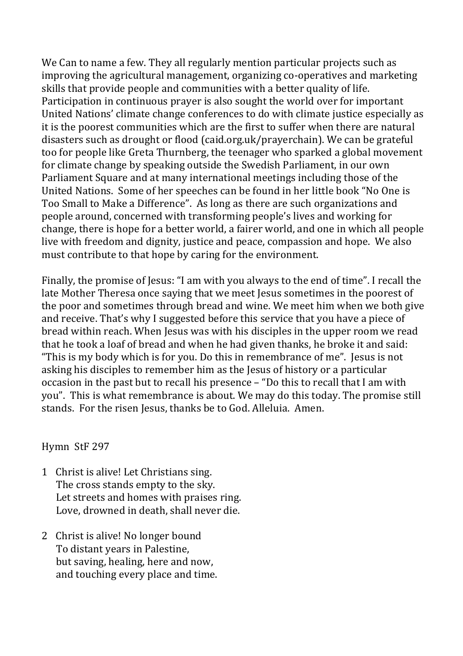We Can to name a few. They all regularly mention particular projects such as improving the agricultural management, organizing co-operatives and marketing skills that provide people and communities with a better quality of life. Participation in continuous prayer is also sought the world over for important United Nations' climate change conferences to do with climate justice especially as it is the poorest communities which are the first to suffer when there are natural disasters such as drought or flood (caid.org.uk/prayerchain). We can be grateful too for people like Greta Thurnberg, the teenager who sparked a global movement for climate change by speaking outside the Swedish Parliament, in our own Parliament Square and at many international meetings including those of the United Nations. Some of her speeches can be found in her little book "No One is Too Small to Make a Difference". As long as there are such organizations and people around, concerned with transforming people's lives and working for change, there is hope for a better world, a fairer world, and one in which all people live with freedom and dignity, justice and peace, compassion and hope. We also must contribute to that hope by caring for the environment.

Finally, the promise of Jesus: "I am with you always to the end of time". I recall the late Mother Theresa once saying that we meet Jesus sometimes in the poorest of the poor and sometimes through bread and wine. We meet him when we both give and receive. That's why I suggested before this service that you have a piece of bread within reach. When Jesus was with his disciples in the upper room we read that he took a loaf of bread and when he had given thanks, he broke it and said: "This is my body which is for you. Do this in remembrance of me". Jesus is not asking his disciples to remember him as the Jesus of history or a particular occasion in the past but to recall his presence  $-$  "Do this to recall that I am with you". This is what remembrance is about. We may do this today. The promise still stands. For the risen Jesus, thanks be to God. Alleluia. Amen.

Hymn StF 297

- 1 Christ is alive! Let Christians sing. The cross stands empty to the sky. Let streets and homes with praises ring. Love, drowned in death, shall never die.
- 2 Christ is alive! No longer bound To distant years in Palestine, but saving, healing, here and now, and touching every place and time.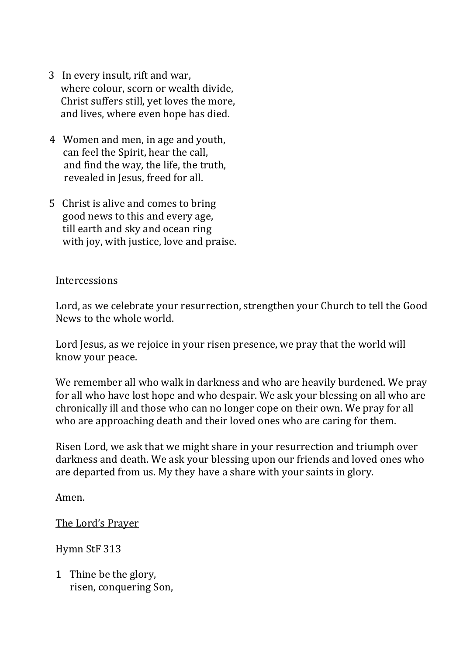- 3 In every insult, rift and war. where colour, scorn or wealth divide. Christ suffers still, yet loves the more, and lives, where even hope has died.
- 4 Women and men, in age and youth, can feel the Spirit, hear the call, and find the way, the life, the truth, revealed in Jesus, freed for all.
- 5 Christ is alive and comes to bring good news to this and every age. till earth and sky and ocean ring with joy, with justice, love and praise.

#### Intercessions

Lord, as we celebrate your resurrection, strengthen your Church to tell the Good News to the whole world.

Lord Jesus, as we rejoice in your risen presence, we pray that the world will know your peace.

We remember all who walk in darkness and who are heavily burdened. We pray for all who have lost hope and who despair. We ask your blessing on all who are chronically ill and those who can no longer cope on their own. We pray for all who are approaching death and their loved ones who are caring for them.

Risen Lord, we ask that we might share in your resurrection and triumph over darkness and death. We ask your blessing upon our friends and loved ones who are departed from us. My they have a share with your saints in glory.

Amen.

The Lord's Prayer

Hymn StF 313

1 Thine be the glory, risen, conquering Son,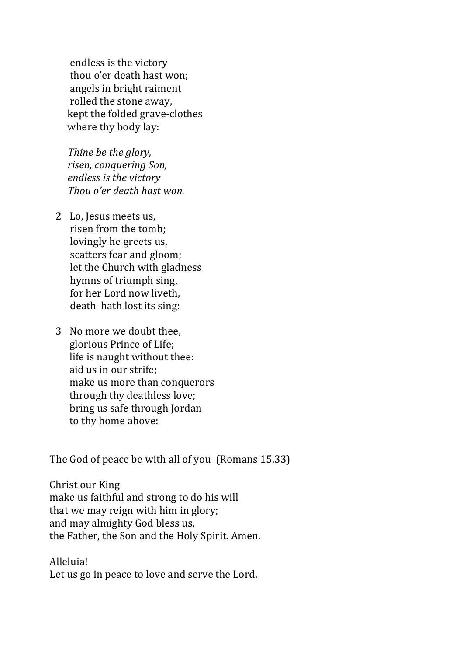endless is the victory thou o'er death hast won: angels in bright raiment rolled the stone away, kept the folded grave-clothes where thy body lay:

Thine be the glory, *risen, conquering Son, <i>endless is the victory Thou o'er death hast won.* 

- 2 Lo, Jesus meets us, risen from the tomb: lovingly he greets us, scatters fear and gloom; let the Church with gladness hymns of triumph sing. for her Lord now liveth, death hath lost its sing:
- 3 No more we doubt thee. glorious Prince of Life; life is naught without thee: aid us in our strife; make us more than conquerors through thy deathless love; bring us safe through Jordan to thy home above:

The God of peace be with all of you (Romans 15.33)

Christ our King make us faithful and strong to do his will that we may reign with him in glory; and may almighty God bless us, the Father, the Son and the Holy Spirit. Amen.

Alleluia! Let us go in peace to love and serve the Lord.